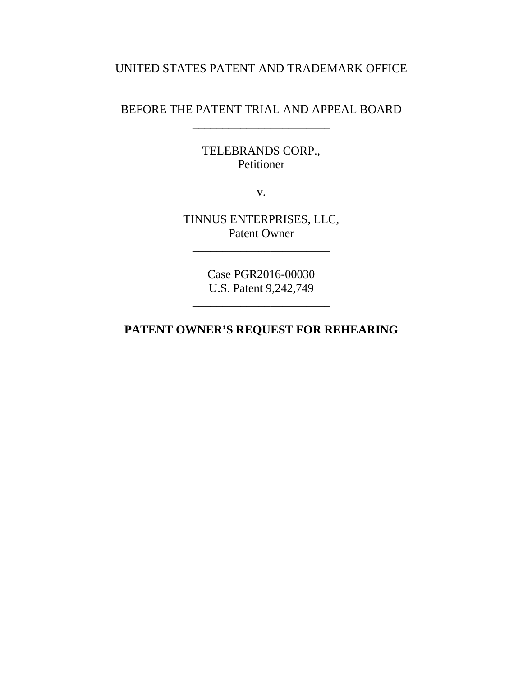## UNITED STATES PATENT AND TRADEMARK OFFICE \_\_\_\_\_\_\_\_\_\_\_\_\_\_\_\_\_\_\_\_\_\_\_

# BEFORE THE PATENT TRIAL AND APPEAL BOARD \_\_\_\_\_\_\_\_\_\_\_\_\_\_\_\_\_\_\_\_\_\_\_

TELEBRANDS CORP., Petitioner

v.

TINNUS ENTERPRISES, LLC, Patent Owner

\_\_\_\_\_\_\_\_\_\_\_\_\_\_\_\_\_\_\_\_\_\_\_

Case PGR2016-00030 U.S. Patent 9,242,749

\_\_\_\_\_\_\_\_\_\_\_\_\_\_\_\_\_\_\_\_\_\_\_

**PATENT OWNER'S REQUEST FOR REHEARING**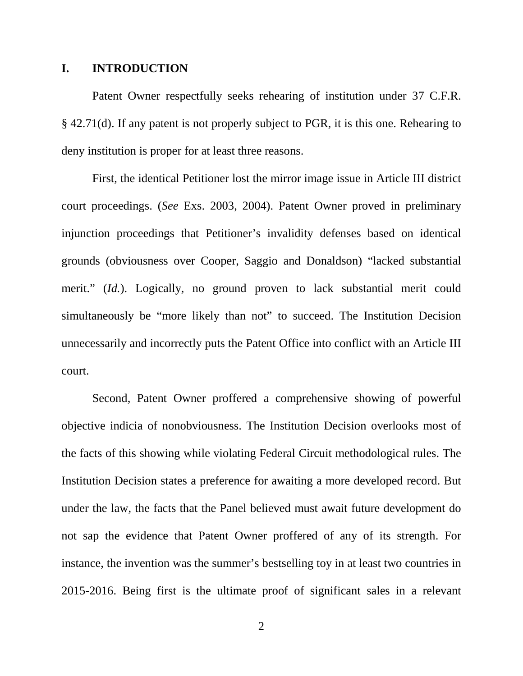#### **I. INTRODUCTION**

Patent Owner respectfully seeks rehearing of institution under 37 C.F.R. § 42.71(d). If any patent is not properly subject to PGR, it is this one. Rehearing to deny institution is proper for at least three reasons.

First, the identical Petitioner lost the mirror image issue in Article III district court proceedings. (*See* Exs. 2003, 2004). Patent Owner proved in preliminary injunction proceedings that Petitioner's invalidity defenses based on identical grounds (obviousness over Cooper, Saggio and Donaldson) "lacked substantial merit." *(Id.)*. Logically, no ground proven to lack substantial merit could simultaneously be "more likely than not" to succeed. The Institution Decision unnecessarily and incorrectly puts the Patent Office into conflict with an Article III court.

Second, Patent Owner proffered a comprehensive showing of powerful objective indicia of nonobviousness. The Institution Decision overlooks most of the facts of this showing while violating Federal Circuit methodological rules. The Institution Decision states a preference for awaiting a more developed record. But under the law, the facts that the Panel believed must await future development do not sap the evidence that Patent Owner proffered of any of its strength. For instance, the invention was the summer's bestselling toy in at least two countries in 2015-2016. Being first is the ultimate proof of significant sales in a relevant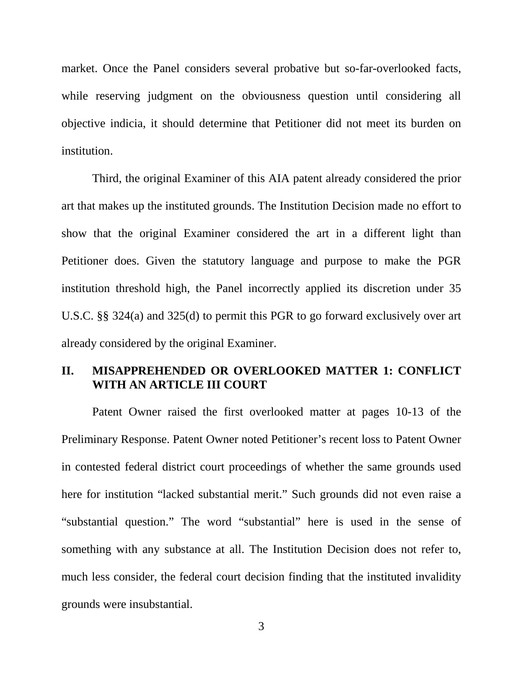market. Once the Panel considers several probative but so-far-overlooked facts, while reserving judgment on the obviousness question until considering all objective indicia, it should determine that Petitioner did not meet its burden on institution.

Third, the original Examiner of this AIA patent already considered the prior art that makes up the instituted grounds. The Institution Decision made no effort to show that the original Examiner considered the art in a different light than Petitioner does. Given the statutory language and purpose to make the PGR institution threshold high, the Panel incorrectly applied its discretion under 35 U.S.C. §§ 324(a) and 325(d) to permit this PGR to go forward exclusively over art already considered by the original Examiner.

### **II. MISAPPREHENDED OR OVERLOOKED MATTER 1: CONFLICT WITH AN ARTICLE III COURT**

Patent Owner raised the first overlooked matter at pages 10-13 of the Preliminary Response. Patent Owner noted Petitioner's recent loss to Patent Owner in contested federal district court proceedings of whether the same grounds used here for institution "lacked substantial merit." Such grounds did not even raise a "substantial question." The word "substantial" here is used in the sense of something with any substance at all. The Institution Decision does not refer to, much less consider, the federal court decision finding that the instituted invalidity grounds were insubstantial.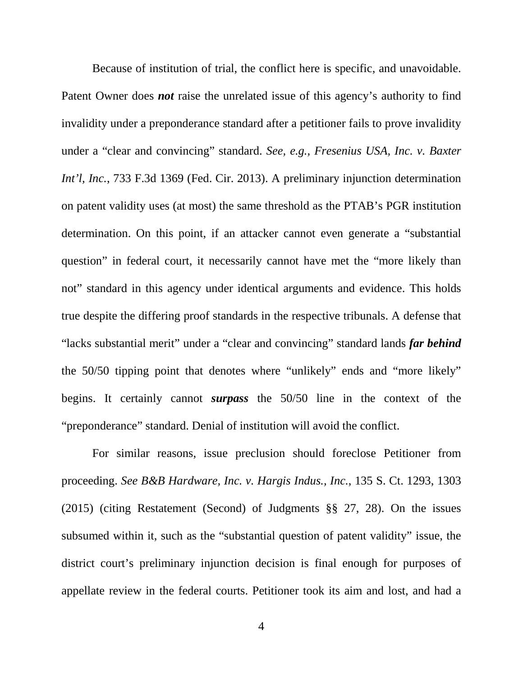Because of institution of trial, the conflict here is specific, and unavoidable. Patent Owner does *not* raise the unrelated issue of this agency's authority to find invalidity under a preponderance standard after a petitioner fails to prove invalidity under a "clear and convincing" standard. *See, e.g., Fresenius USA, Inc. v. Baxter Int'l, Inc.*, 733 F.3d 1369 (Fed. Cir. 2013). A preliminary injunction determination on patent validity uses (at most) the same threshold as the PTAB's PGR institution determination. On this point, if an attacker cannot even generate a "substantial question" in federal court, it necessarily cannot have met the "more likely than not" standard in this agency under identical arguments and evidence. This holds true despite the differing proof standards in the respective tribunals. A defense that "lacks substantial merit" under a "clear and convincing" standard lands *far behind* the 50/50 tipping point that denotes where "unlikely" ends and "more likely" begins. It certainly cannot *surpass* the 50/50 line in the context of the "preponderance" standard. Denial of institution will avoid the conflict.

For similar reasons, issue preclusion should foreclose Petitioner from proceeding. *See B&B Hardware, Inc. v. Hargis Indus., Inc.*, 135 S. Ct. 1293, 1303 (2015) (citing Restatement (Second) of Judgments §§ 27, 28). On the issues subsumed within it, such as the "substantial question of patent validity" issue, the district court's preliminary injunction decision is final enough for purposes of appellate review in the federal courts. Petitioner took its aim and lost, and had a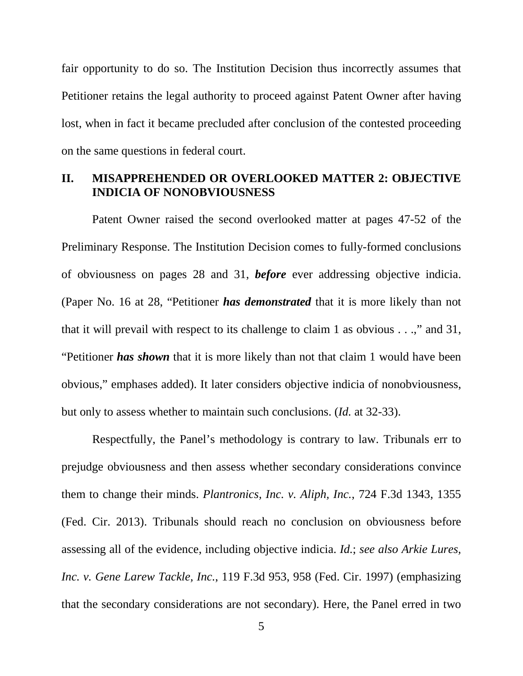fair opportunity to do so. The Institution Decision thus incorrectly assumes that Petitioner retains the legal authority to proceed against Patent Owner after having lost, when in fact it became precluded after conclusion of the contested proceeding on the same questions in federal court.

### **II. MISAPPREHENDED OR OVERLOOKED MATTER 2: OBJECTIVE INDICIA OF NONOBVIOUSNESS**

Patent Owner raised the second overlooked matter at pages 47-52 of the Preliminary Response. The Institution Decision comes to fully-formed conclusions of obviousness on pages 28 and 31, *before* ever addressing objective indicia. (Paper No. 16 at 28, "Petitioner *has demonstrated* that it is more likely than not that it will prevail with respect to its challenge to claim 1 as obvious . . .," and 31, "Petitioner *has shown* that it is more likely than not that claim 1 would have been obvious," emphases added). It later considers objective indicia of nonobviousness, but only to assess whether to maintain such conclusions. (*Id.* at 32-33).

Respectfully, the Panel's methodology is contrary to law. Tribunals err to prejudge obviousness and then assess whether secondary considerations convince them to change their minds. *Plantronics, Inc. v. Aliph, Inc.*, 724 F.3d 1343, 1355 (Fed. Cir. 2013). Tribunals should reach no conclusion on obviousness before assessing all of the evidence, including objective indicia. *Id.*; *see also Arkie Lures, Inc. v. Gene Larew Tackle, Inc.*, 119 F.3d 953, 958 (Fed. Cir. 1997) (emphasizing that the secondary considerations are not secondary). Here, the Panel erred in two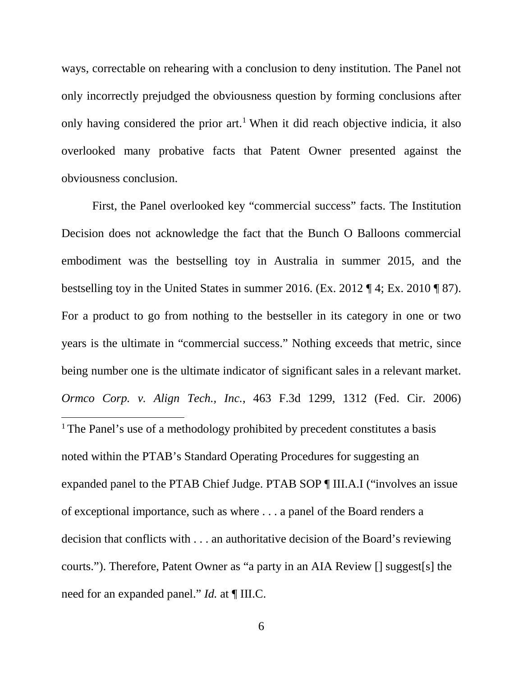ways, correctable on rehearing with a conclusion to deny institution. The Panel not only incorrectly prejudged the obviousness question by forming conclusions after only having considered the prior art.<sup>[1](#page-5-0)</sup> When it did reach objective indicia, it also overlooked many probative facts that Patent Owner presented against the obviousness conclusion.

<span id="page-5-0"></span>First, the Panel overlooked key "commercial success" facts. The Institution Decision does not acknowledge the fact that the Bunch O Balloons commercial embodiment was the bestselling toy in Australia in summer 2015, and the bestselling toy in the United States in summer 2016. (Ex. 2012 ¶ 4; Ex. 2010 ¶ 87). For a product to go from nothing to the bestseller in its category in one or two years is the ultimate in "commercial success." Nothing exceeds that metric, since being number one is the ultimate indicator of significant sales in a relevant market. *Ormco Corp. v. Align Tech., Inc.*, 463 F.3d 1299, 1312 (Fed. Cir. 2006) <sup>1</sup> The Panel's use of a methodology prohibited by precedent constitutes a basis noted within the PTAB's Standard Operating Procedures for suggesting an expanded panel to the PTAB Chief Judge. PTAB SOP ¶ III.A.I ("involves an issue of exceptional importance, such as where . . . a panel of the Board renders a decision that conflicts with . . . an authoritative decision of the Board's reviewing courts."). Therefore, Patent Owner as "a party in an AIA Review [] suggest[s] the need for an expanded panel." *Id.* at ¶ III.C.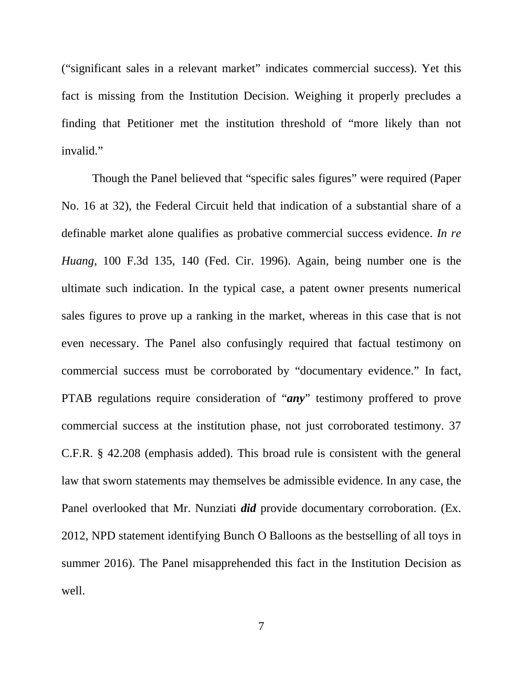("significant sales in a relevant market" indicates commercial success). Yet this fact is missing from the Institution Decision. Weighing it properly precludes a finding that Petitioner met the institution threshold of "more likely than not invalid."

Though the Panel believed that "specific sales figures" were required (Paper No. 16 at 32), the Federal Circuit held that indication of a substantial share of a definable market alone qualifies as probative commercial success evidence. *In re Huang*, 100 F.3d 135, 140 (Fed. Cir. 1996). Again, being number one is the ultimate such indication. In the typical case, a patent owner presents numerical sales figures to prove up a ranking in the market, whereas in this case that is not even necessary. The Panel also confusingly required that factual testimony on commercial success must be corroborated by "documentary evidence." In fact, PTAB regulations require consideration of "*any*" testimony proffered to prove commercial success at the institution phase, not just corroborated testimony. 37 C.F.R. § 42.208 (emphasis added). This broad rule is consistent with the general law that sworn statements may themselves be admissible evidence. In any case, the Panel overlooked that Mr. Nunziati *did* provide documentary corroboration. (Ex. 2012, NPD statement identifying Bunch O Balloons as the bestselling of all toys in summer 2016). The Panel misapprehended this fact in the Institution Decision as well.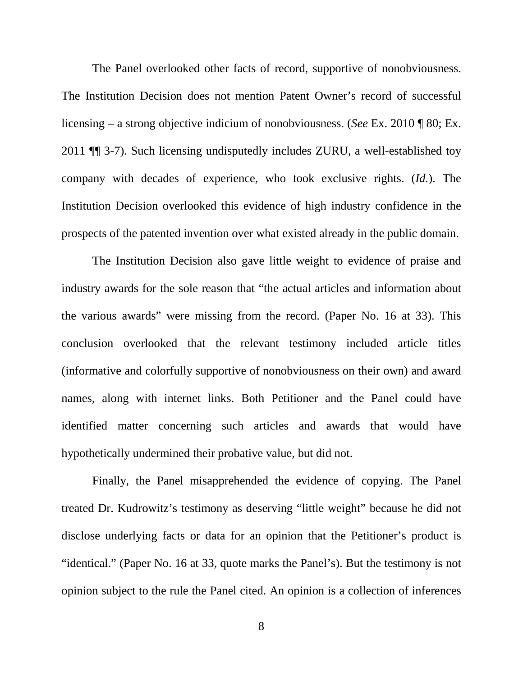The Panel overlooked other facts of record, supportive of nonobviousness. The Institution Decision does not mention Patent Owner's record of successful licensing – a strong objective indicium of nonobviousness. (*See* Ex. 2010 ¶ 80; Ex. 2011 ¶¶ 3-7). Such licensing undisputedly includes ZURU, a well-established toy company with decades of experience, who took exclusive rights. (*Id.*). The Institution Decision overlooked this evidence of high industry confidence in the prospects of the patented invention over what existed already in the public domain.

The Institution Decision also gave little weight to evidence of praise and industry awards for the sole reason that "the actual articles and information about the various awards" were missing from the record. (Paper No. 16 at 33). This conclusion overlooked that the relevant testimony included article titles (informative and colorfully supportive of nonobviousness on their own) and award names, along with internet links. Both Petitioner and the Panel could have identified matter concerning such articles and awards that would have hypothetically undermined their probative value, but did not.

Finally, the Panel misapprehended the evidence of copying. The Panel treated Dr. Kudrowitz's testimony as deserving "little weight" because he did not disclose underlying facts or data for an opinion that the Petitioner's product is "identical." (Paper No. 16 at 33, quote marks the Panel's). But the testimony is not opinion subject to the rule the Panel cited. An opinion is a collection of inferences

8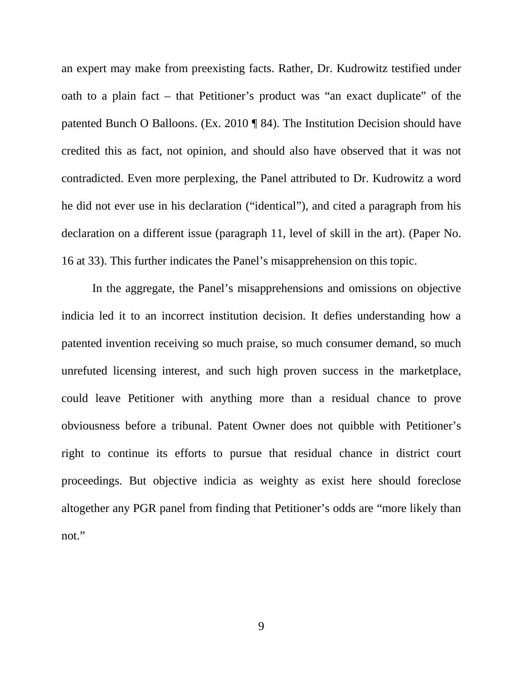an expert may make from preexisting facts. Rather, Dr. Kudrowitz testified under oath to a plain fact – that Petitioner's product was "an exact duplicate" of the patented Bunch O Balloons. (Ex. 2010 ¶ 84). The Institution Decision should have credited this as fact, not opinion, and should also have observed that it was not contradicted. Even more perplexing, the Panel attributed to Dr. Kudrowitz a word he did not ever use in his declaration ("identical"), and cited a paragraph from his declaration on a different issue (paragraph 11, level of skill in the art). (Paper No. 16 at 33). This further indicates the Panel's misapprehension on this topic.

In the aggregate, the Panel's misapprehensions and omissions on objective indicia led it to an incorrect institution decision. It defies understanding how a patented invention receiving so much praise, so much consumer demand, so much unrefuted licensing interest, and such high proven success in the marketplace, could leave Petitioner with anything more than a residual chance to prove obviousness before a tribunal. Patent Owner does not quibble with Petitioner's right to continue its efforts to pursue that residual chance in district court proceedings. But objective indicia as weighty as exist here should foreclose altogether any PGR panel from finding that Petitioner's odds are "more likely than not."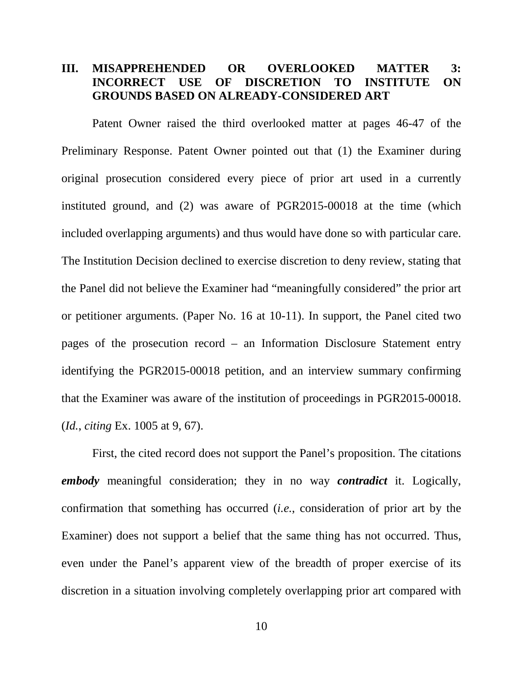### **III. MISAPPREHENDED OR OVERLOOKED MATTER 3: INCORRECT USE OF DISCRETION TO INSTITUTE ON GROUNDS BASED ON ALREADY-CONSIDERED ART**

Patent Owner raised the third overlooked matter at pages 46-47 of the Preliminary Response. Patent Owner pointed out that (1) the Examiner during original prosecution considered every piece of prior art used in a currently instituted ground, and (2) was aware of PGR2015-00018 at the time (which included overlapping arguments) and thus would have done so with particular care. The Institution Decision declined to exercise discretion to deny review, stating that the Panel did not believe the Examiner had "meaningfully considered" the prior art or petitioner arguments. (Paper No. 16 at 10-11). In support, the Panel cited two pages of the prosecution record – an Information Disclosure Statement entry identifying the PGR2015-00018 petition, and an interview summary confirming that the Examiner was aware of the institution of proceedings in PGR2015-00018. (*Id.*, *citing* Ex. 1005 at 9, 67).

First, the cited record does not support the Panel's proposition. The citations *embody* meaningful consideration; they in no way *contradict* it. Logically, confirmation that something has occurred (*i.e.*, consideration of prior art by the Examiner) does not support a belief that the same thing has not occurred. Thus, even under the Panel's apparent view of the breadth of proper exercise of its discretion in a situation involving completely overlapping prior art compared with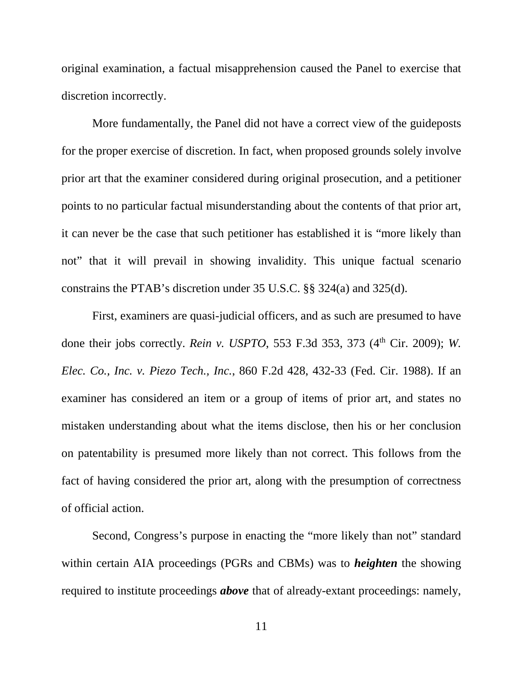original examination, a factual misapprehension caused the Panel to exercise that discretion incorrectly.

More fundamentally, the Panel did not have a correct view of the guideposts for the proper exercise of discretion. In fact, when proposed grounds solely involve prior art that the examiner considered during original prosecution, and a petitioner points to no particular factual misunderstanding about the contents of that prior art, it can never be the case that such petitioner has established it is "more likely than not" that it will prevail in showing invalidity. This unique factual scenario constrains the PTAB's discretion under 35 U.S.C. §§ 324(a) and 325(d).

First, examiners are quasi-judicial officers, and as such are presumed to have done their jobs correctly. *Rein v. USPTO*, 553 F.3d 353, 373 (4<sup>th</sup> Cir. 2009); *W. Elec. Co., Inc. v. Piezo Tech., Inc.*, 860 F.2d 428, 432-33 (Fed. Cir. 1988). If an examiner has considered an item or a group of items of prior art, and states no mistaken understanding about what the items disclose, then his or her conclusion on patentability is presumed more likely than not correct. This follows from the fact of having considered the prior art, along with the presumption of correctness of official action.

Second, Congress's purpose in enacting the "more likely than not" standard within certain AIA proceedings (PGRs and CBMs) was to *heighten* the showing required to institute proceedings *above* that of already-extant proceedings: namely,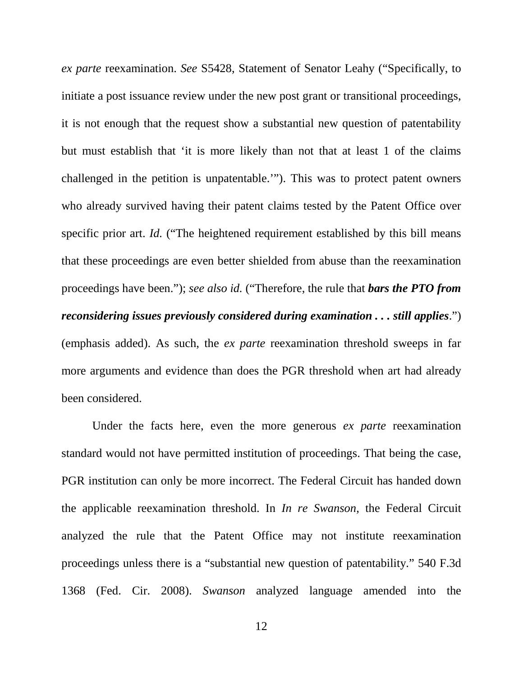*ex parte* reexamination. *See* S5428, Statement of Senator Leahy ("Specifically, to initiate a post issuance review under the new post grant or transitional proceedings, it is not enough that the request show a substantial new question of patentability but must establish that 'it is more likely than not that at least 1 of the claims challenged in the petition is unpatentable.'"). This was to protect patent owners who already survived having their patent claims tested by the Patent Office over specific prior art. *Id.* ("The heightened requirement established by this bill means that these proceedings are even better shielded from abuse than the reexamination proceedings have been."); *see also id.* ("Therefore, the rule that *bars the PTO from reconsidering issues previously considered during examination . . . still applies*.") (emphasis added). As such, the *ex parte* reexamination threshold sweeps in far more arguments and evidence than does the PGR threshold when art had already been considered.

Under the facts here, even the more generous *ex parte* reexamination standard would not have permitted institution of proceedings. That being the case, PGR institution can only be more incorrect. The Federal Circuit has handed down the applicable reexamination threshold. In *In re Swanson*, the Federal Circuit analyzed the rule that the Patent Office may not institute reexamination proceedings unless there is a "substantial new question of patentability." 540 F.3d 1368 (Fed. Cir. 2008). *Swanson* analyzed language amended into the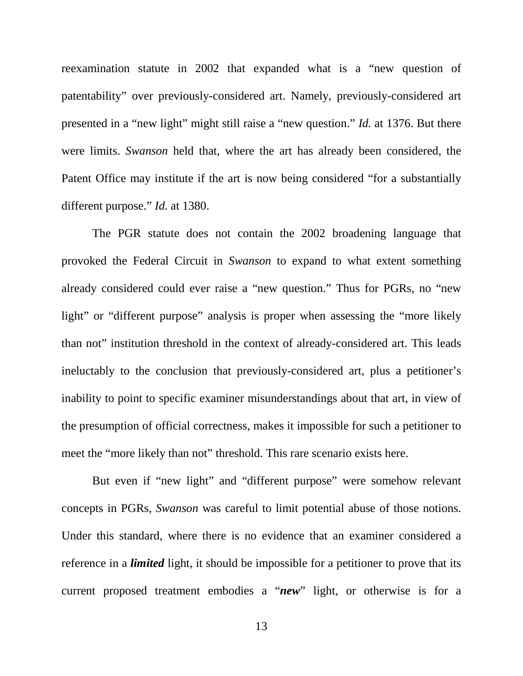reexamination statute in 2002 that expanded what is a "new question of patentability" over previously-considered art. Namely, previously-considered art presented in a "new light" might still raise a "new question." *Id.* at 1376. But there were limits. *Swanson* held that, where the art has already been considered, the Patent Office may institute if the art is now being considered "for a substantially different purpose." *Id.* at 1380.

The PGR statute does not contain the 2002 broadening language that provoked the Federal Circuit in *Swanson* to expand to what extent something already considered could ever raise a "new question." Thus for PGRs, no "new light" or "different purpose" analysis is proper when assessing the "more likely" than not" institution threshold in the context of already-considered art. This leads ineluctably to the conclusion that previously-considered art, plus a petitioner's inability to point to specific examiner misunderstandings about that art, in view of the presumption of official correctness, makes it impossible for such a petitioner to meet the "more likely than not" threshold. This rare scenario exists here.

But even if "new light" and "different purpose" were somehow relevant concepts in PGRs, *Swanson* was careful to limit potential abuse of those notions. Under this standard, where there is no evidence that an examiner considered a reference in a *limited* light, it should be impossible for a petitioner to prove that its current proposed treatment embodies a "*new*" light, or otherwise is for a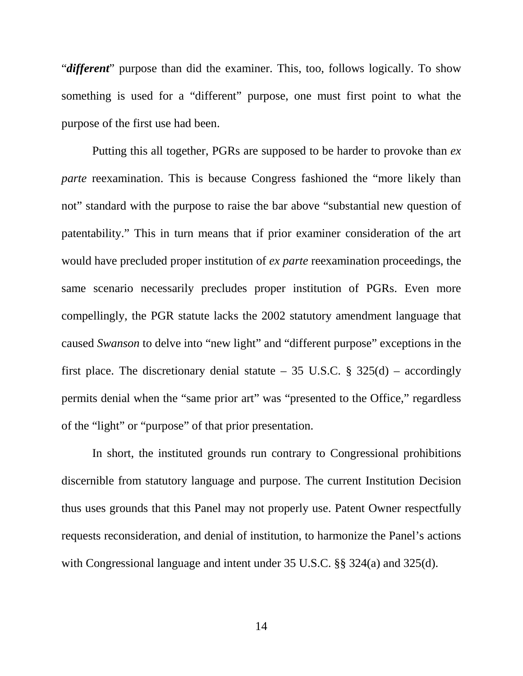"*different*" purpose than did the examiner. This, too, follows logically. To show something is used for a "different" purpose, one must first point to what the purpose of the first use had been.

Putting this all together, PGRs are supposed to be harder to provoke than *ex parte* reexamination. This is because Congress fashioned the "more likely than not" standard with the purpose to raise the bar above "substantial new question of patentability." This in turn means that if prior examiner consideration of the art would have precluded proper institution of *ex parte* reexamination proceedings, the same scenario necessarily precludes proper institution of PGRs. Even more compellingly, the PGR statute lacks the 2002 statutory amendment language that caused *Swanson* to delve into "new light" and "different purpose" exceptions in the first place. The discretionary denial statute – 35 U.S.C.  $\S$  325(d) – accordingly permits denial when the "same prior art" was "presented to the Office," regardless of the "light" or "purpose" of that prior presentation.

In short, the instituted grounds run contrary to Congressional prohibitions discernible from statutory language and purpose. The current Institution Decision thus uses grounds that this Panel may not properly use. Patent Owner respectfully requests reconsideration, and denial of institution, to harmonize the Panel's actions with Congressional language and intent under 35 U.S.C. §§ 324(a) and 325(d).

14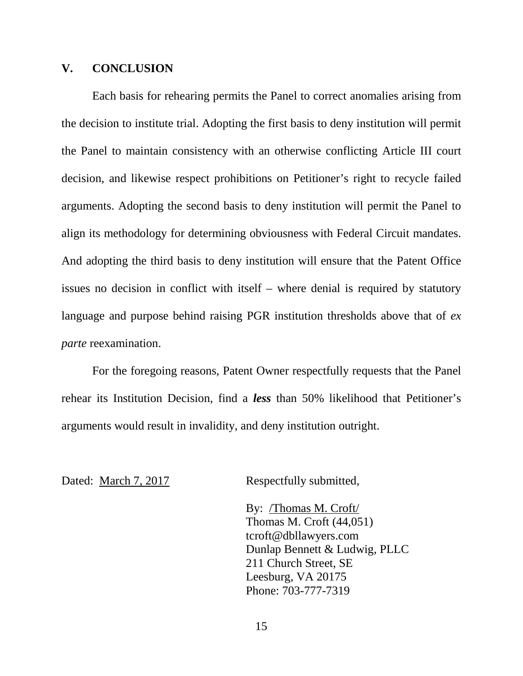#### **V. CONCLUSION**

Each basis for rehearing permits the Panel to correct anomalies arising from the decision to institute trial. Adopting the first basis to deny institution will permit the Panel to maintain consistency with an otherwise conflicting Article III court decision, and likewise respect prohibitions on Petitioner's right to recycle failed arguments. Adopting the second basis to deny institution will permit the Panel to align its methodology for determining obviousness with Federal Circuit mandates. And adopting the third basis to deny institution will ensure that the Patent Office issues no decision in conflict with itself – where denial is required by statutory language and purpose behind raising PGR institution thresholds above that of *ex parte* reexamination.

For the foregoing reasons, Patent Owner respectfully requests that the Panel rehear its Institution Decision, find a *less* than 50% likelihood that Petitioner's arguments would result in invalidity, and deny institution outright.

Dated: March 7, 2017 Respectfully submitted,

By: /Thomas M. Croft/ Thomas M. Croft (44,051) tcroft@dbllawyers.com Dunlap Bennett & Ludwig, PLLC 211 Church Street, SE Leesburg, VA 20175 Phone: 703-777-7319

15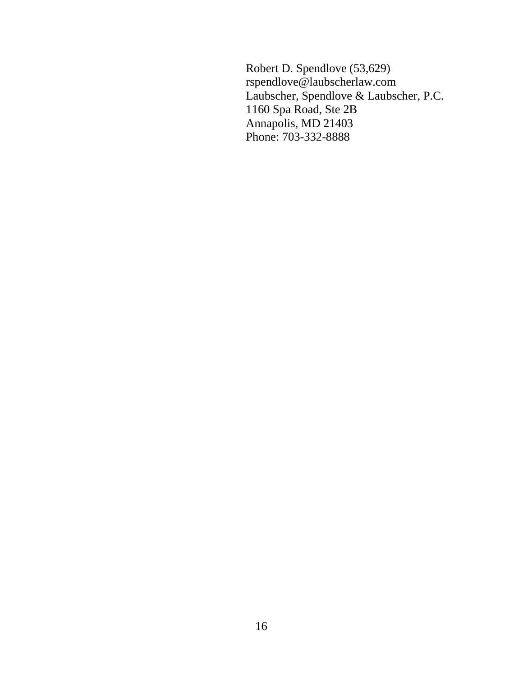Robert D. Spendlove (53,629) rspendlove@laubscherlaw.com Laubscher, Spendlove & Laubscher, P.C. 1160 Spa Road, Ste 2B Annapolis, MD 21403 Phone: 703-332-8888